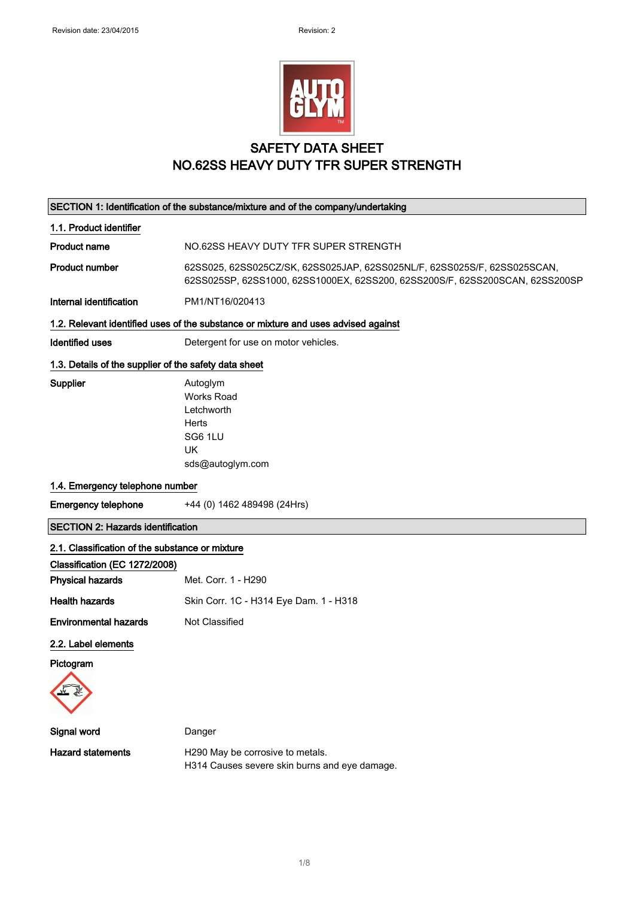

### SAFETY DATA SHEET NO.62SS HEAVY DUTY TFR SUPER STRENGTH

 $\overline{\phantom{a}}$ 

|                                                       | SECTION 1: Identification of the substance/mixture and of the company/undertaking                                                                        |
|-------------------------------------------------------|----------------------------------------------------------------------------------------------------------------------------------------------------------|
| 1.1. Product identifier                               |                                                                                                                                                          |
| Product name                                          | NO.62SS HEAVY DUTY TFR SUPER STRENGTH                                                                                                                    |
| <b>Product number</b>                                 | 62SS025, 62SS025CZ/SK, 62SS025JAP, 62SS025NL/F, 62SS025S/F, 62SS025SCAN,<br>62SS025SP, 62SS1000, 62SS1000EX, 62SS200, 62SS200S/F, 62SS200SCAN, 62SS200SP |
| Internal identification                               | PM1/NT16/020413                                                                                                                                          |
|                                                       | 1.2. Relevant identified uses of the substance or mixture and uses advised against                                                                       |
| <b>Identified uses</b>                                | Detergent for use on motor vehicles.                                                                                                                     |
| 1.3. Details of the supplier of the safety data sheet |                                                                                                                                                          |
| Supplier                                              | Autoglym<br><b>Works Road</b><br>Letchworth<br>Herts<br>SG6 1LU<br><b>UK</b><br>sds@autoglym.com                                                         |
| 1.4. Emergency telephone number                       |                                                                                                                                                          |
| <b>Emergency telephone</b>                            | +44 (0) 1462 489498 (24Hrs)                                                                                                                              |
| <b>SECTION 2: Hazards identification</b>              |                                                                                                                                                          |
| 2.1. Classification of the substance or mixture       |                                                                                                                                                          |
| Classification (EC 1272/2008)                         |                                                                                                                                                          |
| <b>Physical hazards</b>                               | Met. Corr. 1 - H290                                                                                                                                      |
| <b>Health hazards</b>                                 | Skin Corr. 1C - H314 Eye Dam. 1 - H318                                                                                                                   |
| <b>Environmental hazards</b>                          | Not Classified                                                                                                                                           |
| 2.2. Label elements                                   |                                                                                                                                                          |
| Pictogram                                             |                                                                                                                                                          |
|                                                       |                                                                                                                                                          |
| Signal word                                           | Danger                                                                                                                                                   |
| <b>Hazard statements</b>                              | H290 May be corrosive to metals.<br>H314 Causes severe skin burns and eye damage.                                                                        |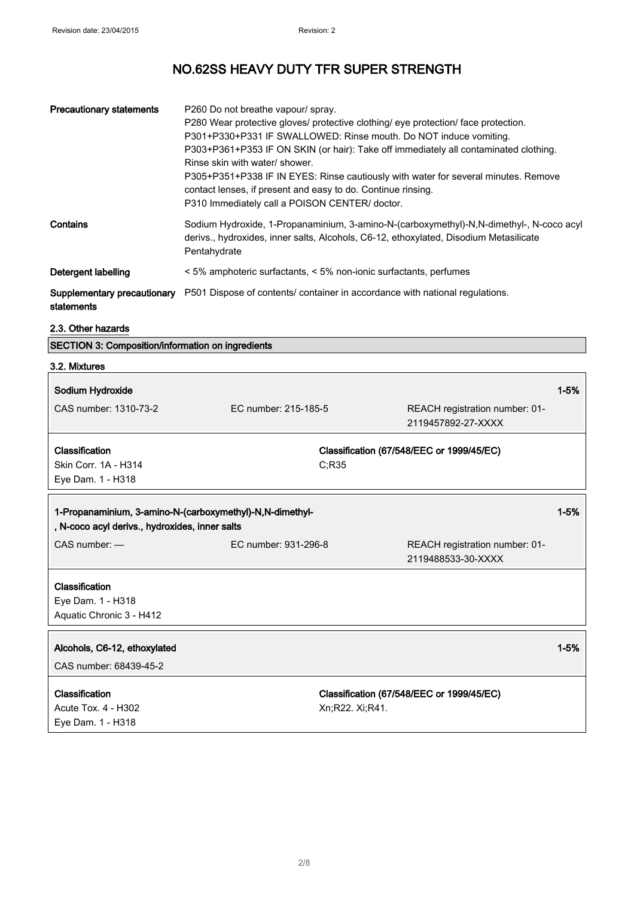| <b>Precautionary statements</b> | P260 Do not breathe vapour/ spray.<br>P280 Wear protective gloves/ protective clothing/ eye protection/ face protection.<br>P301+P330+P331 IF SWALLOWED: Rinse mouth. Do NOT induce vomiting.<br>P303+P361+P353 IF ON SKIN (or hair): Take off immediately all contaminated clothing.<br>Rinse skin with water/ shower.<br>P305+P351+P338 IF IN EYES: Rinse cautiously with water for several minutes. Remove<br>contact lenses, if present and easy to do. Continue rinsing.<br>P310 Immediately call a POISON CENTER/ doctor. |
|---------------------------------|---------------------------------------------------------------------------------------------------------------------------------------------------------------------------------------------------------------------------------------------------------------------------------------------------------------------------------------------------------------------------------------------------------------------------------------------------------------------------------------------------------------------------------|
| Contains                        | Sodium Hydroxide, 1-Propanaminium, 3-amino-N-(carboxymethyl)-N,N-dimethyl-, N-coco acyl<br>derivs., hydroxides, inner salts, Alcohols, C6-12, ethoxylated, Disodium Metasilicate<br>Pentahydrate                                                                                                                                                                                                                                                                                                                                |
| Detergent labelling             | < 5% amphoteric surfactants, < 5% non-ionic surfactants, perfumes                                                                                                                                                                                                                                                                                                                                                                                                                                                               |
| statements                      | <b>Supplementary precautionary</b> P501 Dispose of contents/ container in accordance with national regulations.                                                                                                                                                                                                                                                                                                                                                                                                                 |

#### 2.3. Other hazards

SECTION 3: Composition/information on ingredients

| 3.2. Mixtures                                                                                              |                      |                                                      |          |
|------------------------------------------------------------------------------------------------------------|----------------------|------------------------------------------------------|----------|
| Sodium Hydroxide                                                                                           |                      |                                                      | $1 - 5%$ |
| CAS number: 1310-73-2                                                                                      | EC number: 215-185-5 | REACH registration number: 01-<br>2119457892-27-XXXX |          |
| Classification                                                                                             |                      | Classification (67/548/EEC or 1999/45/EC)            |          |
| Skin Corr. 1A - H314                                                                                       | C;R35                |                                                      |          |
| Eye Dam. 1 - H318                                                                                          |                      |                                                      |          |
| 1-Propanaminium, 3-amino-N-(carboxymethyl)-N,N-dimethyl-<br>, N-coco acyl derivs., hydroxides, inner salts |                      | $1 - 5%$                                             |          |
| $CAS$ number: $-$                                                                                          | EC number: 931-296-8 | REACH registration number: 01-<br>2119488533-30-XXXX |          |
| Classification                                                                                             |                      |                                                      |          |
| Eye Dam. 1 - H318                                                                                          |                      |                                                      |          |
| Aquatic Chronic 3 - H412                                                                                   |                      |                                                      |          |
| Alcohols, C6-12, ethoxylated                                                                               |                      |                                                      | $1 - 5%$ |
| CAS number: 68439-45-2                                                                                     |                      |                                                      |          |
| Classification                                                                                             |                      | Classification (67/548/EEC or 1999/45/EC)            |          |
| Acute Tox. 4 - H302                                                                                        | Xn;R22. Xi;R41.      |                                                      |          |
| Eye Dam. 1 - H318                                                                                          |                      |                                                      |          |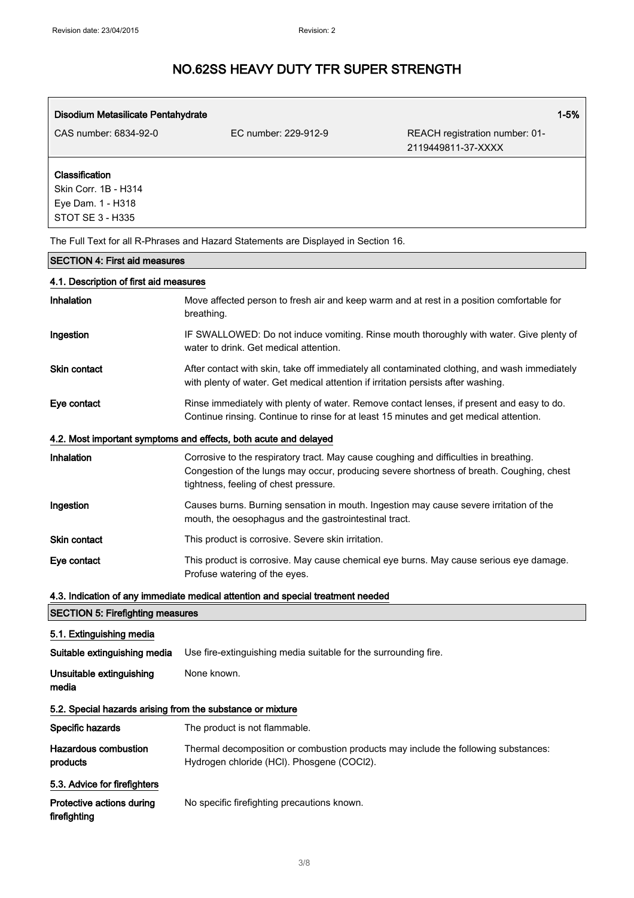| Disodium Metasilicate Pentahydrate                                                     |                                                                                                                                                                                                                            | $1 - 5%$                                             |
|----------------------------------------------------------------------------------------|----------------------------------------------------------------------------------------------------------------------------------------------------------------------------------------------------------------------------|------------------------------------------------------|
| CAS number: 6834-92-0                                                                  | EC number: 229-912-9                                                                                                                                                                                                       | REACH registration number: 01-<br>2119449811-37-XXXX |
| Classification<br>Skin Corr. 1B - H314<br>Eye Dam. 1 - H318<br><b>STOT SE 3 - H335</b> |                                                                                                                                                                                                                            |                                                      |
|                                                                                        | The Full Text for all R-Phrases and Hazard Statements are Displayed in Section 16.                                                                                                                                         |                                                      |
| <b>SECTION 4: First aid measures</b>                                                   |                                                                                                                                                                                                                            |                                                      |
| 4.1. Description of first aid measures                                                 |                                                                                                                                                                                                                            |                                                      |
| Inhalation                                                                             | Move affected person to fresh air and keep warm and at rest in a position comfortable for<br>breathing.                                                                                                                    |                                                      |
| Ingestion                                                                              | IF SWALLOWED: Do not induce vomiting. Rinse mouth thoroughly with water. Give plenty of<br>water to drink. Get medical attention.                                                                                          |                                                      |
| Skin contact                                                                           | After contact with skin, take off immediately all contaminated clothing, and wash immediately<br>with plenty of water. Get medical attention if irritation persists after washing.                                         |                                                      |
| Eye contact                                                                            | Rinse immediately with plenty of water. Remove contact lenses, if present and easy to do.<br>Continue rinsing. Continue to rinse for at least 15 minutes and get medical attention.                                        |                                                      |
|                                                                                        | 4.2. Most important symptoms and effects, both acute and delayed                                                                                                                                                           |                                                      |
| <b>Inhalation</b>                                                                      | Corrosive to the respiratory tract. May cause coughing and difficulties in breathing.<br>Congestion of the lungs may occur, producing severe shortness of breath. Coughing, chest<br>tightness, feeling of chest pressure. |                                                      |
| Ingestion                                                                              | Causes burns. Burning sensation in mouth. Ingestion may cause severe irritation of the<br>mouth, the oesophagus and the gastrointestinal tract.                                                                            |                                                      |
| <b>Skin contact</b>                                                                    | This product is corrosive. Severe skin irritation.                                                                                                                                                                         |                                                      |
| Eye contact                                                                            | This product is corrosive. May cause chemical eye burns. May cause serious eye damage.<br>Profuse watering of the eyes.                                                                                                    |                                                      |
|                                                                                        | 4.3. Indication of any immediate medical attention and special treatment needed                                                                                                                                            |                                                      |
| <b>SECTION 5: Firefighting measures</b>                                                |                                                                                                                                                                                                                            |                                                      |
| 5.1. Extinguishing media                                                               |                                                                                                                                                                                                                            |                                                      |
| Suitable extinguishing media                                                           | Use fire-extinguishing media suitable for the surrounding fire.                                                                                                                                                            |                                                      |
| Unsuitable extinguishing<br>media                                                      | None known.                                                                                                                                                                                                                |                                                      |
| 5.2. Special hazards arising from the substance or mixture                             |                                                                                                                                                                                                                            |                                                      |
| Specific hazards                                                                       | The product is not flammable.                                                                                                                                                                                              |                                                      |
| <b>Hazardous combustion</b><br>products                                                | Thermal decomposition or combustion products may include the following substances:<br>Hydrogen chloride (HCI). Phosgene (COCI2).                                                                                           |                                                      |
| 5.3. Advice for firefighters                                                           |                                                                                                                                                                                                                            |                                                      |

Protective actions during firefighting No specific firefighting precautions known.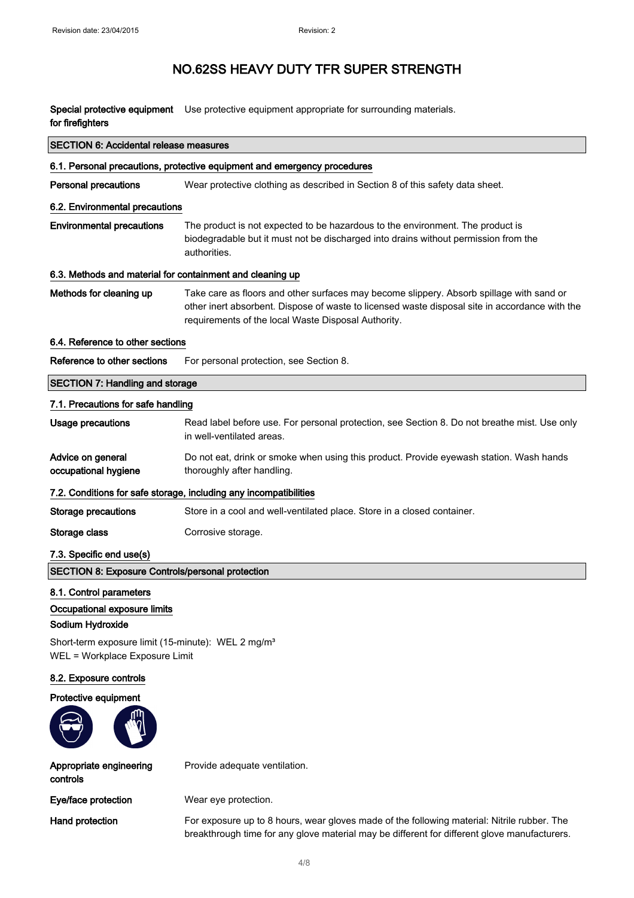Special protective equipment Use protective equipment appropriate for surrounding materials. for firefighters

| <b>SECTION 6: Accidental release measures</b>                                                                                                                                   |                                                                                                                                                                                                                                                   |  |
|---------------------------------------------------------------------------------------------------------------------------------------------------------------------------------|---------------------------------------------------------------------------------------------------------------------------------------------------------------------------------------------------------------------------------------------------|--|
|                                                                                                                                                                                 | 6.1. Personal precautions, protective equipment and emergency procedures                                                                                                                                                                          |  |
| <b>Personal precautions</b>                                                                                                                                                     | Wear protective clothing as described in Section 8 of this safety data sheet.                                                                                                                                                                     |  |
| 6.2. Environmental precautions                                                                                                                                                  |                                                                                                                                                                                                                                                   |  |
| <b>Environmental precautions</b>                                                                                                                                                | The product is not expected to be hazardous to the environment. The product is<br>biodegradable but it must not be discharged into drains without permission from the<br>authorities.                                                             |  |
| 6.3. Methods and material for containment and cleaning up                                                                                                                       |                                                                                                                                                                                                                                                   |  |
| Methods for cleaning up                                                                                                                                                         | Take care as floors and other surfaces may become slippery. Absorb spillage with sand or<br>other inert absorbent. Dispose of waste to licensed waste disposal site in accordance with the<br>requirements of the local Waste Disposal Authority. |  |
| 6.4. Reference to other sections                                                                                                                                                |                                                                                                                                                                                                                                                   |  |
| Reference to other sections                                                                                                                                                     | For personal protection, see Section 8.                                                                                                                                                                                                           |  |
| <b>SECTION 7: Handling and storage</b>                                                                                                                                          |                                                                                                                                                                                                                                                   |  |
| 7.1. Precautions for safe handling                                                                                                                                              |                                                                                                                                                                                                                                                   |  |
| <b>Usage precautions</b>                                                                                                                                                        | Read label before use. For personal protection, see Section 8. Do not breathe mist. Use only<br>in well-ventilated areas.                                                                                                                         |  |
| Advice on general<br>occupational hygiene                                                                                                                                       | Do not eat, drink or smoke when using this product. Provide eyewash station. Wash hands<br>thoroughly after handling.                                                                                                                             |  |
|                                                                                                                                                                                 | 7.2. Conditions for safe storage, including any incompatibilities                                                                                                                                                                                 |  |
| <b>Storage precautions</b>                                                                                                                                                      | Store in a cool and well-ventilated place. Store in a closed container.                                                                                                                                                                           |  |
| Storage class                                                                                                                                                                   | Corrosive storage.                                                                                                                                                                                                                                |  |
| 7.3. Specific end use(s)                                                                                                                                                        |                                                                                                                                                                                                                                                   |  |
| <b>SECTION 8: Exposure Controls/personal protection</b>                                                                                                                         |                                                                                                                                                                                                                                                   |  |
| 8.1. Control parameters<br>Occupational exposure limits<br>Sodium Hydroxide<br>Short-term exposure limit (15-minute): WEL 2 mg/m <sup>3</sup><br>WEL = Workplace Exposure Limit |                                                                                                                                                                                                                                                   |  |
| 8.2. Exposure controls                                                                                                                                                          |                                                                                                                                                                                                                                                   |  |
| Protective equipment                                                                                                                                                            |                                                                                                                                                                                                                                                   |  |
|                                                                                                                                                                                 |                                                                                                                                                                                                                                                   |  |
| Appropriate engineering<br>controls                                                                                                                                             | Provide adequate ventilation.                                                                                                                                                                                                                     |  |
| Eye/face protection                                                                                                                                                             | Wear eye protection.                                                                                                                                                                                                                              |  |
| Hand protection                                                                                                                                                                 | For exposure up to 8 hours, wear gloves made of the following material: Nitrile rubber. The<br>breakthrough time for any glove material may be different for different glove manufacturers.                                                       |  |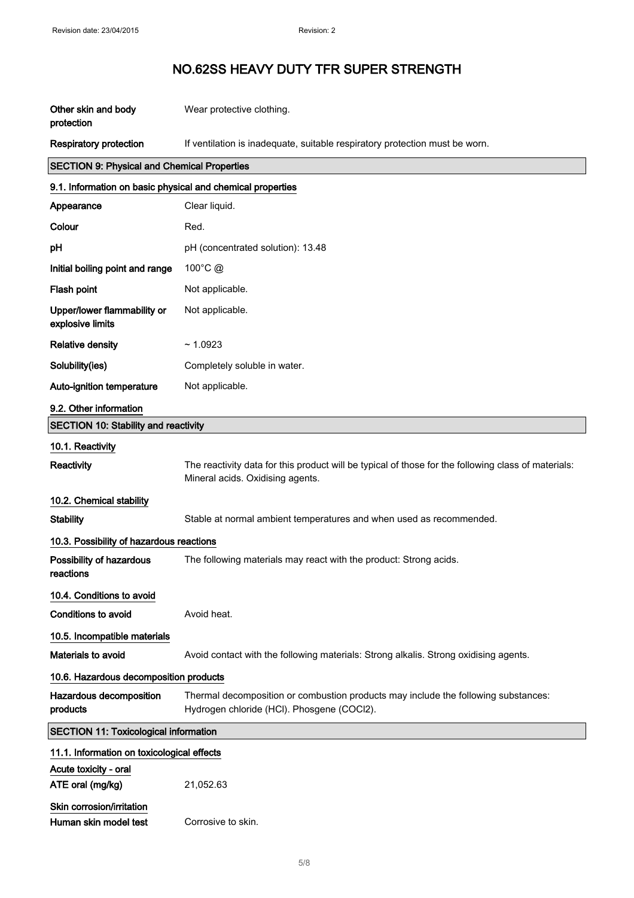| Other skin and body<br>protection                          | Wear protective clothing.                                                                                                               |  |
|------------------------------------------------------------|-----------------------------------------------------------------------------------------------------------------------------------------|--|
| <b>Respiratory protection</b>                              | If ventilation is inadequate, suitable respiratory protection must be worn.                                                             |  |
| <b>SECTION 9: Physical and Chemical Properties</b>         |                                                                                                                                         |  |
| 9.1. Information on basic physical and chemical properties |                                                                                                                                         |  |
| Appearance                                                 | Clear liquid.                                                                                                                           |  |
| Colour                                                     | Red.                                                                                                                                    |  |
| pH                                                         | pH (concentrated solution): 13.48                                                                                                       |  |
| Initial boiling point and range                            | 100 $^{\circ}$ C $\omega$                                                                                                               |  |
| Flash point                                                | Not applicable.                                                                                                                         |  |
| Upper/lower flammability or<br>explosive limits            | Not applicable.                                                                                                                         |  |
| <b>Relative density</b>                                    | ~1.0923                                                                                                                                 |  |
| Solubility(ies)                                            | Completely soluble in water.                                                                                                            |  |
| Auto-ignition temperature                                  | Not applicable.                                                                                                                         |  |
| 9.2. Other information                                     |                                                                                                                                         |  |
| <b>SECTION 10: Stability and reactivity</b>                |                                                                                                                                         |  |
| 10.1. Reactivity                                           |                                                                                                                                         |  |
| Reactivity                                                 | The reactivity data for this product will be typical of those for the following class of materials:<br>Mineral acids. Oxidising agents. |  |
| 10.2. Chemical stability                                   |                                                                                                                                         |  |
| <b>Stability</b>                                           | Stable at normal ambient temperatures and when used as recommended.                                                                     |  |
| 10.3. Possibility of hazardous reactions                   |                                                                                                                                         |  |
| Possibility of hazardous<br>reactions                      | The following materials may react with the product: Strong acids.                                                                       |  |
| 10.4. Conditions to avoid                                  |                                                                                                                                         |  |
| Conditions to avoid                                        | Avoid heat.                                                                                                                             |  |
| 10.5. Incompatible materials                               |                                                                                                                                         |  |
| Materials to avoid                                         | Avoid contact with the following materials: Strong alkalis. Strong oxidising agents.                                                    |  |
| 10.6. Hazardous decomposition products                     |                                                                                                                                         |  |
| Hazardous decomposition<br>products                        | Thermal decomposition or combustion products may include the following substances:<br>Hydrogen chloride (HCI). Phosgene (COCI2).        |  |
| <b>SECTION 11: Toxicological information</b>               |                                                                                                                                         |  |
| 11.1. Information on toxicological effects                 |                                                                                                                                         |  |
| Acute toxicity - oral<br>ATE oral (mg/kg)                  | 21,052.63                                                                                                                               |  |
| Skin corrosion/irritation<br>Human skin model test         | Corrosive to skin.                                                                                                                      |  |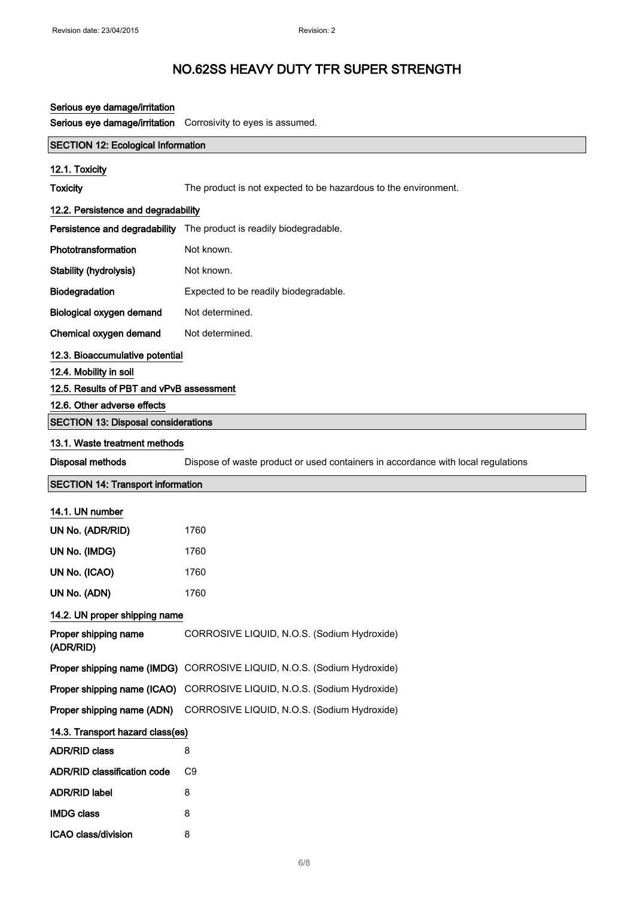| Serious eye damage/irritation              |                                                                                  |  |
|--------------------------------------------|----------------------------------------------------------------------------------|--|
| Serious eye damage/irritation              | Corrosivity to eyes is assumed.                                                  |  |
| <b>SECTION 12: Ecological Information</b>  |                                                                                  |  |
| 12.1. Toxicity                             |                                                                                  |  |
| <b>Toxicity</b>                            | The product is not expected to be hazardous to the environment.                  |  |
| 12.2. Persistence and degradability        |                                                                                  |  |
|                                            | Persistence and degradability The product is readily biodegradable.              |  |
| Phototransformation                        | Not known.                                                                       |  |
| Stability (hydrolysis)                     | Not known.                                                                       |  |
| Biodegradation                             | Expected to be readily biodegradable.                                            |  |
| Biological oxygen demand                   | Not determined.                                                                  |  |
| Chemical oxygen demand                     | Not determined.                                                                  |  |
| 12.3. Bioaccumulative potential            |                                                                                  |  |
| 12.4. Mobility in soil                     |                                                                                  |  |
| 12.5. Results of PBT and vPvB assessment   |                                                                                  |  |
| 12.6. Other adverse effects                |                                                                                  |  |
| <b>SECTION 13: Disposal considerations</b> |                                                                                  |  |
| 13.1. Waste treatment methods              |                                                                                  |  |
| Disposal methods                           | Dispose of waste product or used containers in accordance with local regulations |  |
| <b>SECTION 14: Transport information</b>   |                                                                                  |  |
| 14.1. UN number                            |                                                                                  |  |
|                                            |                                                                                  |  |
| UN No. (ADR/RID)                           | 1760                                                                             |  |
| UN No. (IMDG)                              | 1760                                                                             |  |
| UN No. (ICAO)                              | 1760                                                                             |  |
| UN No. (ADN)                               | 1760                                                                             |  |
| 14.2. UN proper shipping name              |                                                                                  |  |
| Proper shipping name<br>(ADR/RID)          | CORROSIVE LIQUID, N.O.S. (Sodium Hydroxide)                                      |  |
|                                            | Proper shipping name (IMDG) CORROSIVE LIQUID, N.O.S. (Sodium Hydroxide)          |  |
|                                            | Proper shipping name (ICAO) CORROSIVE LIQUID, N.O.S. (Sodium Hydroxide)          |  |
| Proper shipping name (ADN)                 | CORROSIVE LIQUID, N.O.S. (Sodium Hydroxide)                                      |  |
| 14.3. Transport hazard class(es)           |                                                                                  |  |
| <b>ADR/RID class</b>                       | 8                                                                                |  |
| <b>ADR/RID classification code</b>         | C <sub>9</sub>                                                                   |  |
| <b>ADR/RID label</b>                       | 8                                                                                |  |
| <b>IMDG class</b>                          | 8                                                                                |  |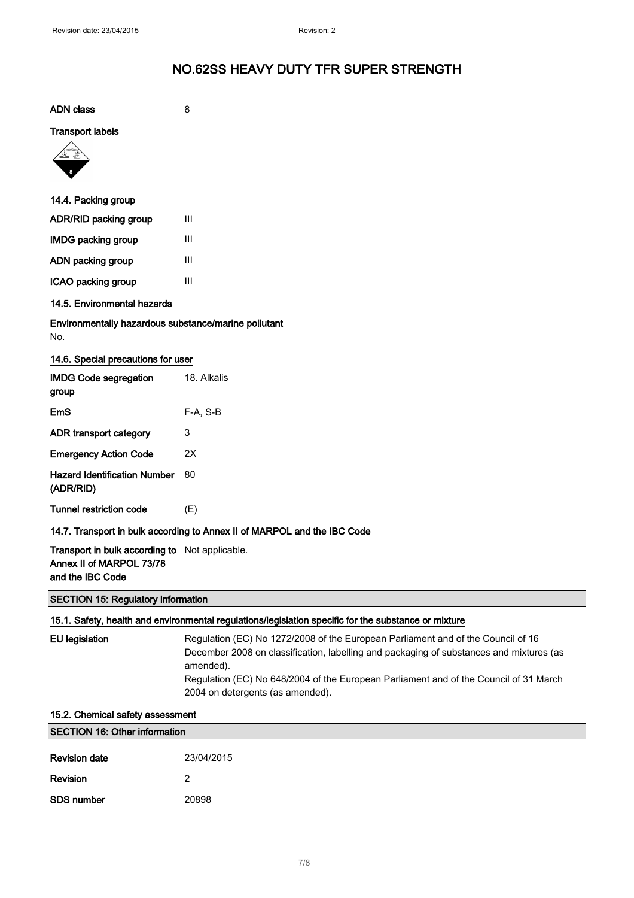| <b>ADN</b> class                                                                           | 8                                                                        |  |
|--------------------------------------------------------------------------------------------|--------------------------------------------------------------------------|--|
| <b>Transport labels</b>                                                                    |                                                                          |  |
|                                                                                            |                                                                          |  |
| 14.4. Packing group                                                                        |                                                                          |  |
| ADR/RID packing group                                                                      | III                                                                      |  |
| <b>IMDG packing group</b>                                                                  | III                                                                      |  |
| ADN packing group                                                                          | III                                                                      |  |
| ICAO packing group                                                                         | III                                                                      |  |
| 14.5. Environmental hazards                                                                |                                                                          |  |
| Environmentally hazardous substance/marine pollutant<br>No.                                |                                                                          |  |
| 14.6. Special precautions for user                                                         |                                                                          |  |
| <b>IMDG Code segregation</b><br>group                                                      | 18. Alkalis                                                              |  |
| <b>EmS</b>                                                                                 | F-A, S-B                                                                 |  |
| ADR transport category                                                                     | 3                                                                        |  |
| <b>Emergency Action Code</b>                                                               | 2X                                                                       |  |
| <b>Hazard Identification Number</b><br>(ADR/RID)                                           | 80                                                                       |  |
| <b>Tunnel restriction code</b>                                                             | (E)                                                                      |  |
|                                                                                            | 14.7. Transport in bulk according to Annex II of MARPOL and the IBC Code |  |
| Transport in bulk according to Not applicable.<br>$\sim$ II $\sim$ Coloration $\sim$ 70.70 |                                                                          |  |

Annex II of MARPOL 73/78 and the IBC Code

#### SECTION 15: Regulatory information

#### 15.1. Safety, health and environmental regulations/legislation specific for the substance or mixture

| EU legislation | Regulation (EC) No 1272/2008 of the European Parliament and of the Council of 16        |
|----------------|-----------------------------------------------------------------------------------------|
|                | December 2008 on classification, labelling and packaging of substances and mixtures (as |
|                | amended).                                                                               |
|                | Regulation (EC) No 648/2004 of the European Parliament and of the Council of 31 March   |
|                | 2004 on detergents (as amended).                                                        |
|                |                                                                                         |

#### 15.2. Chemical safety assessment

| <b>SECTION 16: Other information</b> |            |
|--------------------------------------|------------|
| <b>Revision date</b>                 | 23/04/2015 |
| <b>Revision</b>                      |            |
| <b>SDS number</b>                    | 20898      |